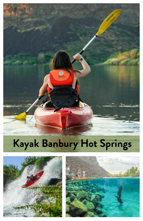# **Kayak Banbury Hot Springs**



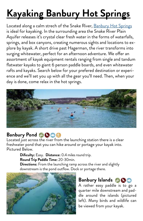# **Kayaking Banbury Hot Springs**

Located along a calm strech of the Snake River, [Banbury Hot Springs](http://www.miraclehotspring.com) is ideal for kayaking. In the surrounding area the Snake River Plain Aquifer releases it's crystal clear fresh water in the forms of waterfalls, springs, and box canyons, creating numerous sights and locations to explore by kayak. A short drive past Hagerman, the river transforms into surging whitewater, perfect for an afternoon adventure. We offer an assortment of kayak equipment rentals ranging from single and tandum flatwater kayaks to giant 6 person paddle boards, and even whitewater rafts and kayaks. Search below for your prefered destination or experience and we'll set you up with all the gear you'll need. Then, when your day is done, come relax in the hot springs.



### **Banbury Pond @OO@**

Located just across the river from the launching station there is a clear freshwater pond that you can hike around or portage your kayak into. Pictured Below.

> **Dificulty:** Easy. **Distance:** 0.4 miles round trip. **Round Trip Paddle Time:** 20-30min.

**Directions:** From the launching ramp across the river and slightly downstream is the pond outflow. Dock or portage there.



#### **Banbury Islands BO**

A rather easy paddle is to go a quarter mile downstream and paddle around the islands (pictured left). Many birds and wildlife can be viewed from your kayak.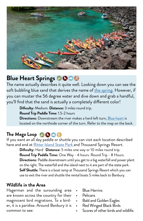

## **Blue Heart Springs**

The name actually describes it quite well. Looking down you can see the soft bubbling blue sand that derives the name of [the spring.](https://www.google.com/maps/place/Blue+Heart+Springs/@42.7090035,-114.8692118,12.9z/data=!4m9!1m3!11m2!2sfcmG2lhFsy3LjOnzk0odfdgRj3a-gQ!3e3!3m4!1s0x54ac8db33bd3d909:0x5a251a2c77c43aad!8m2!3d42.7104588!4d-114.8297763?hl=en-US) However, if you can muster the 56 degree water and dive down and grab a handful, you'll find that the sand is actually a completely different color!

**Dificulty:** Medium. **Distance:** 3 miles round trip.

**Round Trip Paddle Time:** 1.5-2 hours

**Directions:** Downstream the river makes a hard left turn, [Blue heart](https://www.google.com/maps/place/Blue+Heart+Springs/@42.7090035,-114.8692118,12.9z/data=!4m9!1m3!11m2!2sfcmG2lhFsy3LjOnzk0odfdgRj3a-gQ!3e3!3m4!1s0x54ac8db33bd3d909:0x5a251a2c77c43aad!8m2!3d42.7104588!4d-114.8297763?hl=en-US) is located on the northside corner of the turn. Refer to the map on the back.

### **The Mega Loop**

If you want an all day paddle or shuttle you can visit each location described here and end at [Ritter Island State Park](https://www.google.com/maps/@42.7077027,-114.9299925,10.44z/data=!4m3!11m2!2sfcmG2lhFsy3LjOnzk0odfdgRj3a-gQ!3e3) and Thousand Springs Resort.

**Dificulty:** Hard **Distance:** 5 miles one way or 10 miles round trip. **Round Trip Paddle Time:** One Way - 4 hours. Round Trip - 8 Hours. **Directions:** Paddle downstream until you get to a big waterfall and power plant on the right. The waterfall and the island next to it are part of the state park. **Self Shuttle:** There is a boat ramp at Thousand Springs Resort which you can use to exit the river and shuttle the rental boats 5 miles back to Banbury.

#### **Wildlife in the Area**

Hagerman and the surounding area are known across the country for their maginicent bird migrations. To a birder, it is a paridise. Around Banbury it is common to see:

- **Blue Herrins**
- Pelicans
- Bald and Golden Eagles
- Red Winged Black Birds
- Scores of other birds and wildlife.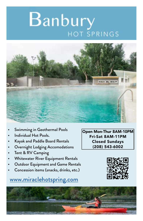# Banbury **HOT SPRINGS**



- Swimming in Geothermal Pools
- Individual Hot Pools.
- Kayak and Paddle Board Rentals
- Overnight Lodging Accomodations
- Tent & RV Camping
- Whitewater River Equipment Rentals
- Outdoor Equipment and Game Rentals
- Concession items (snacks, drinks, etc.)

## [www.miraclehotspring.com](http://www.miraclehotspring.com)

Open Mon-Thur 8AM-10PM Fri-Sat 8AM-11PM Closed Sundays (208) 543-6002



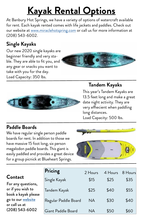# **Kayak Rental Options**

At Banbury Hot Springs, we have a variety of options of watercraft available for rent. Each kayak rented comes with life jackets and paddles. Check out our website at [www.miraclehotspring.com](http://www.miraclehotspring.com) or call us for more information at (208) 543-6002.

### **Single Kayaks**

Our new 2020 single kayaks are beginner friendly and very stable. They are able to fit you, and any gear or snacks you want to take with you for the day. Load Capacity: 350 lbs.





### **Tandem Kayaks**

This year's Tandem Kayaks are 13.5 feet long and make a great date night activity. They are very effiecient when paddling long distances.

Load Capacity: 500 lbs.

### **Paddle Boards**

We have regular single person paddle boards for rent. In addition to those we have massive 15 foot long, six person megalodon paddle boards. This giant is easily paddled and provides a great device for a group picnick at Blueheart Springs.



#### **Contact**

For any questions, or if you wish to book a kayak please go to our [website](https://www.miraclehotspring.com/blank) or call us at (208) 543-6002

| Pricing              | 2 Hours   | 4 Hours | 8 Hours |
|----------------------|-----------|---------|---------|
| Single Kayak         | \$15      | \$25    | \$35    |
| Tandem Kayak         | \$25      | \$40    | \$55    |
| Regular Paddle Board | <b>NA</b> | \$30    | \$40    |
| Giant Paddle Board   | NД        | \$50    | \$60    |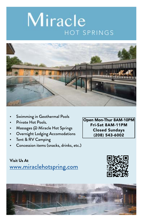# Miracle **HOT SPRINGS**



- Swimming in Geothermal Pools
- Private Hot Pools.
- Massages @ Miracle Hot Springs
- Overnight Lodging Accomodations
- Tent & RV Camping
- Concession items (snacks, drinks, etc.)

Open Mon-Thur 8AM-10PM Fri-Sat 8AM-11PM Closed Sundays (208) 543-6002

[www.miraclehotspring.com](http://www.miraclehotspring.com) **Visit Us At**



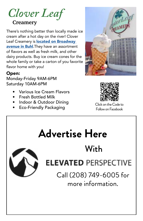# *Clover Leaf*

### **Creamery**

There's nothing better than locally made ice cream after a hot day on the river! Clover Leaf Creamery is **located on Broadway** [avenue in Buhl](https://www.google.com/maps/@42.7077027,-114.9299925,10.44z/data=!4m3!11m2!2sfcmG2lhFsy3LjOnzk0odfdgRj3a-gQ!3e3). They have an assortment of flavors as well as fresh milk, and other dairy products. Buy ice cream cones for the whole family or take a carton of you favorite flavor home with you!

#### Open:

Monday-Friday 9AM-6PM Saturday 10AM-6PM

- Various Ice Cream Flavors
- Fresh Bottled Milk
- Indoor & Outdoor Dining
- Fridoof & Outdoof Drifting<br>
Eco-Friendly Packaging<br>
Eco-Friendly Packaging





Follow on Facebook

# **Advertise Here**

## With



# **ELEVATED PERSPECTIVE**

Call (208) 749-6005 for more information.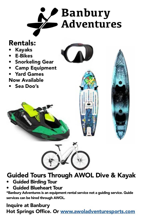

## Rentals:

- Kayaks
- E-Bikes
- Snorkeling Gear
- Camp Equipment
- Yard Games Now Available
- Sea Doo's



## Guided Tours Through AWOL Dive & Kayak

- Guided Birding Tour
- Guided Blueheart Tour

\*Banbury Adventures is an equipment rental service not a guiding service. Guide services can be hired through AWOL.

### Inquire at Banbury Hot Springs Office. Or [www.awoladventuresports.com](http://www.awoladventuresports.com)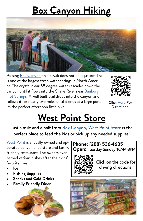# **Box Canyon Hiking**



Passing [Box Canyon](https://www.google.com/maps/place/Box+Canyon+State+Park/@42.7083805,-114.805577,17z/data=!3m1!4b1!4m9!1m3!11m2!2sfcmG2lhFsy3LjOnzk0odfdgRj3a-gQ!3e3!3m4!1s0x54ac8dd8110b781f:0x76069a60b50fa9b8!8m2!3d42.7083805!4d-114.8033883) on a kayak does not do it justice. This is one of the largest fresh water springs in North America. The crystal clear 58 degree water cascades down the canyon until it flows into the Snake River near Banbury [Hot Springs.](http://www.miraclehotspring.com) A well built trail drops into the canyon and follows it for nearly two miles until it ends at a large pond. Its the perfect afternoon little hike!



Click [Here](https://www.google.com/maps/place/Box+Canyon+State+Park/@42.7083805,-114.805577,17z/data=!3m1!4b1!4m9!1m3!11m2!2sfcmG2lhFsy3LjOnzk0odfdgRj3a-gQ!3e3!3m4!1s0x54ac8dd8110b781f:0x76069a60b50fa9b8!8m2!3d42.7083805!4d-114.8033883) For Directions.

# **West Point Store**

Just a mile and a half from [Box Canyon](https://www.google.com/maps/place/Box+Canyon+State+Park/@42.7083805,-114.805577,17z/data=!3m1!4b1!4m9!1m3!11m2!2sfcmG2lhFsy3LjOnzk0odfdgRj3a-gQ!3e3!3m4!1s0x54ac8dd8110b781f:0x76069a60b50fa9b8!8m2!3d42.7083805!4d-114.8033883), [West Point Store](https://www.google.com/maps/place/West+Point+Shack/@42.7252431,-114.7964392,15.87z/data=!4m9!1m3!11m2!2sfcmG2lhFsy3LjOnzk0odfdgRj3a-gQ!3e3!3m4!1s0x0:0xa5d20b237882f849!8m2!3d42.7268332!4d-114.7917545) is the perfect place to feed the kids or pick up any needed supplies.

[West Point](https://www.google.com/maps/place/West+Point+Shack/@42.7252431,-114.7964392,15.87z/data=!4m9!1m3!11m2!2sfcmG2lhFsy3LjOnzk0odfdgRj3a-gQ!3e3!3m4!1s0x0:0xa5d20b237882f849!8m2!3d42.7268332!4d-114.7917545) is a locally owned and opperated convenience store and family friendly restaurant. The owners even named various dishes after their kids' favorite meal.

- **• Ice**
- **• Fishing Supplies**
- **• Snacks and Cold Drinks**
- **• Family Friendly Diner**



#### Phone: (208) 536-4635 Open: Tuesday-Sunday 10AM-8PM



Click on the code for driving directions.

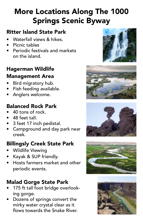## More Locations Along The 1000 Springs Scenic Byway

### Ritter Island State Park

- Waterfall views & hikes
- Picnic tables
- Periodic festivals and markets on the island.

### Hagerman Wildlife

### Management Area

- Bird migratory hub.
- Fish feeding available.
- Anglers welcome.

### Balanced Rock Park

- 40 tons of rock.
- 48 feet tall.
- 3 feet 17 inch pedistal.
- Campground and day park near creek.

### Billingsly Creek State Park

- Wildlife Viewing
- Kayak & SUP friendly.
- Hosts farmers market and other periodic events.

## Malad Gorge State Park

- 175 ft tall foot bridge overlooking gorge.
- Dozens of springs convert the mirky water crystal clear as it flows towards the Snake River.









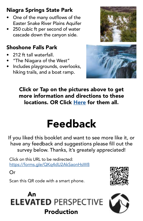## Niagra Springs State Park

- One of the many outflows of the Easter Snake River Plains Aquifer
- 250 cubic ft per second of water cascade down the canyon side.

### Shoshone Falls Park

- 212 ft tall waterfall.
- "The Niagara of the West"
- Includes playgrounds, overlooks, hiking trails, and a boat ramp.





Click or Tap on the pictures above to get more information and directions to these locations. OR Click [Here](https://www.google.com/maps/@42.7582933,-114.8401519,11z/data=!3m1!4b1!4m3!11m2!2sfcmG2lhFsy3LjOnzk0odfdgRj3a-gQ!3e3) for them all.

# Feedback

If you liked this booklet and want to see more like it, or have any feedback and suggestions please fill out the survey below. Thanks, it's greately appreciated!

Click on this URL to be redirected: <https://forms.gle/QKq4dU2AkSaonHsW8>

Or

Scan this QR code with a smart phone.